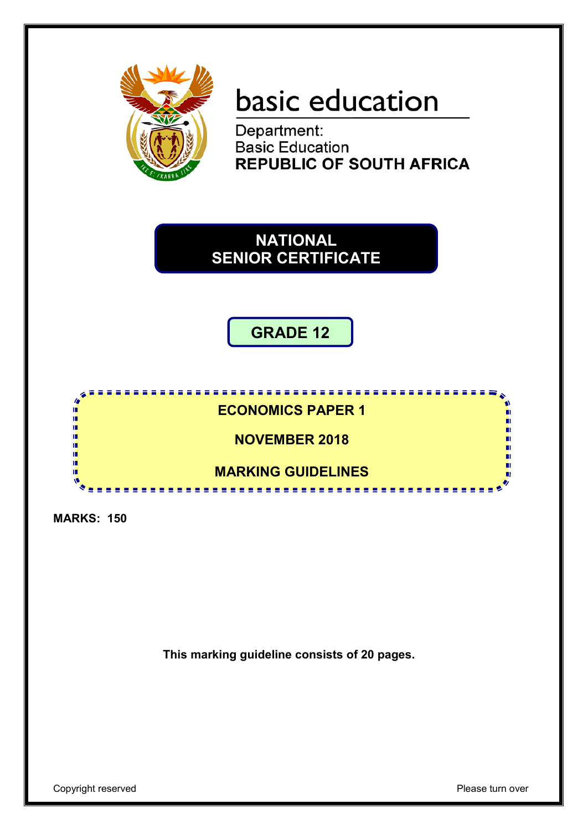

# basic education

Department: **Basic Education REPUBLIC OF SOUTH AFRICA** 

**NATIONAL SENIOR CERTIFICATE**

**GRADE 12**



**MARKS: 150**

**This marking guideline consists of 20 pages.**

Copyright reserved **Please** turn over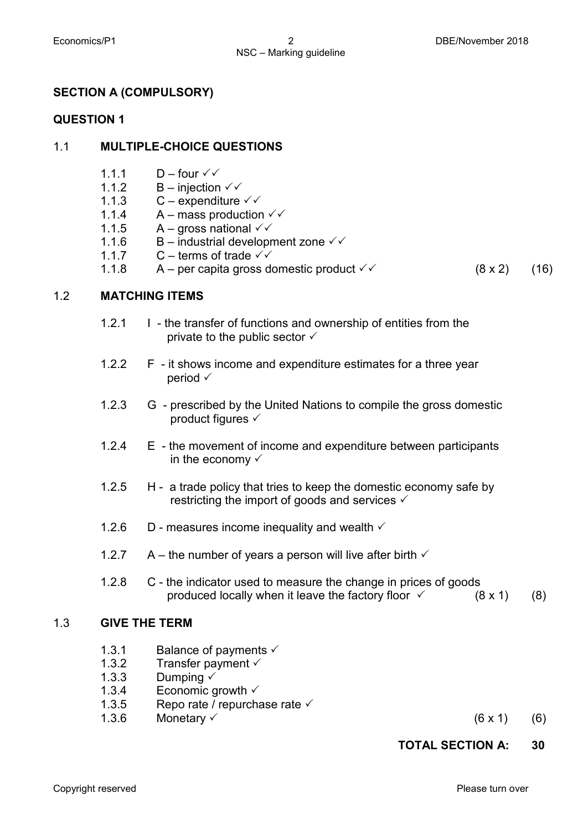## **SECTION A (COMPULSORY)**

## **QUESTION 1**

## 1.1 **MULTIPLE-CHOICE QUESTIONS**

- 1.1.1  $D$  – four  $\checkmark\checkmark$
- 1.1.2  $B$  – injection  $\checkmark\checkmark$
- 1.1.3  $C$  – expenditure  $\checkmark$
- 1.1.4 A – mass production  $\checkmark\checkmark$
- 1.1.5 A – gross national  $\checkmark\checkmark$
- 1.1.6 B – industrial development zone  $\checkmark\checkmark$
- 1.1.7 C – terms of trade  $\checkmark$
- 1.1.8 A – per capita gross domestic product  $\checkmark$  (8 x 2) (16)

## 1.2 **MATCHING ITEMS**

- 1.2.1 I - the transfer of functions and ownership of entities from the private to the public sector  $\checkmark$
- 1.2.2 F - it shows income and expenditure estimates for a three year period  $\checkmark$
- 1.2.3 G - prescribed by the United Nations to compile the gross domestic product figures
- 1.2.4 E - the movement of income and expenditure between participants in the economy  $\checkmark$
- 1.2.5 H - a trade policy that tries to keep the domestic economy safe by restricting the import of goods and services  $\checkmark$
- 1.2.6 D - measures income inequality and wealth  $\checkmark$
- 1.2.7 A – the number of years a person will live after birth  $\checkmark$
- 1.2.8 C - the indicator used to measure the change in prices of goods produced locally when it leave the factory floor  $\checkmark$  (8 x 1) (8)

## 1.3 **GIVE THE TERM**

- 1.3.1 Balance of payments  $\checkmark$
- 1.3.2 Transfer payment  $\checkmark$
- 1.3.3 Dumping  $\checkmark$
- 1.3.4 Economic growth  $\checkmark$
- 1.3.5 Repo rate / repurchase rate  $\checkmark$
- 1.3.6
- Monetary  $(6 \times 1)$  (6)

## **TOTAL SECTION A: 30**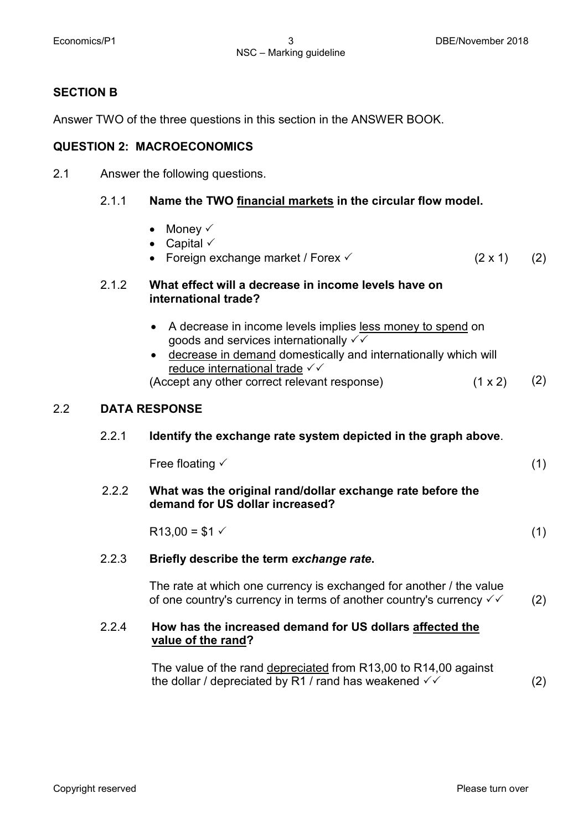#### **SECTION B**

Answer TWO of the three questions in this section in the ANSWER BOOK.

#### **QUESTION 2: MACROECONOMICS**

2.1 Answer the following questions.

#### 2.1.1 **Name the TWO financial markets in the circular flow model.**

• Money  $\checkmark$ • Capital  $\checkmark$ • Foreign exchange market / Forex  $(2 \times 1)$  (2) 2.1.2 **What effect will a decrease in income levels have on international trade?**  • A decrease in income levels implies less money to spend on goods and services internationally  $\checkmark\checkmark$ • decrease in demand domestically and internationally which will reduce international trade √√ (Accept any other correct relevant response)  $(1 \times 2)$  (2) 2.2 **DATA RESPONSE** 2.2.1 **Identify the exchange rate system depicted in the graph above**. Free floating  $\checkmark$  (1) 2.2.2 **What was the original rand/dollar exchange rate before the demand for US dollar increased?**

$$
R13,00 = $1 \checkmark
$$
 (1)

#### 2.2.3 **Briefly describe the term** *exchange rate***.**

The rate at which one currency is exchanged for another / the value of one country's currency in terms of another country's currency  $\checkmark$  (2)

## 2.2.4 **How has the increased demand for US dollars affected the value of the rand?**

The value of the rand depreciated from R13,00 to R14,00 against the dollar / depreciated by R1 / rand has weakened  $\checkmark$  (2)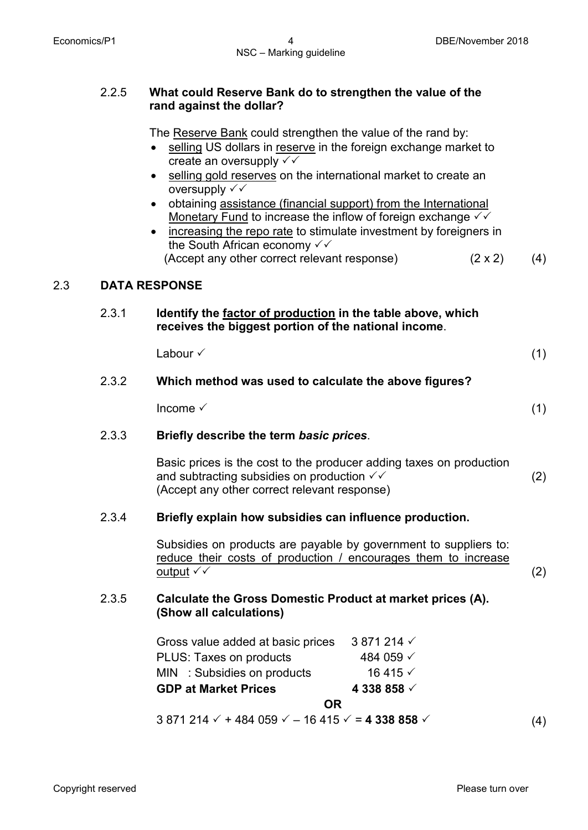#### 2.2.5 **What could Reserve Bank do to strengthen the value of the rand against the dollar?**

The Reserve Bank could strengthen the value of the rand by:

- selling US dollars in reserve in the foreign exchange market to create an oversupply  $\checkmark\checkmark$
- selling gold reserves on the international market to create an oversupply  $\checkmark\checkmark$
- obtaining assistance (financial support) from the International Monetary Fund to increase the inflow of foreign exchange  $\checkmark\checkmark$
- increasing the repo rate to stimulate investment by foreigners in the South African economy  $\checkmark\checkmark$ (Accept any other correct relevant response)  $(2 \times 2)$  (4)

## 2.3 **DATA RESPONSE**

## 2.3.1 **Identify the factor of production in the table above, which receives the biggest portion of the national income**.

| Labour √ | (1) |
|----------|-----|
|          |     |

## 2.3.2 **Which method was used to calculate the above figures?**

 $Income \t(1)$ 

#### 2.3.3 **Briefly describe the term** *basic prices*.

Basic prices is the cost to the producer adding taxes on production and subtracting subsidies on production  $\checkmark\checkmark$ (Accept any other correct relevant response) (2)

#### 2.3.4 **Briefly explain how subsidies can influence production.**

Subsidies on products are payable by government to suppliers to: reduce their costs of production / encourages them to increase  $output \checkmark$  (2)

## 2.3.5 **Calculate the Gross Domestic Product at market prices (A). (Show all calculations)**

| Gross value added at basic prices | 3 871 214 $\checkmark$ |
|-----------------------------------|------------------------|
| PLUS: Taxes on products           | 484 059 √              |
| MIN : Subsidies on products       | 16415 $\checkmark$     |
| <b>GDP at Market Prices</b>       | 4 338 858 $\sqrt{ }$   |
|                                   |                        |

#### **OR**

 $3\,871\,214 \times + 484\,059 \times - 16\,415 \times = 4\,338\,858 \times$  (4)

Copyright reserved **Please turn over the Copyright reserved** Please turn over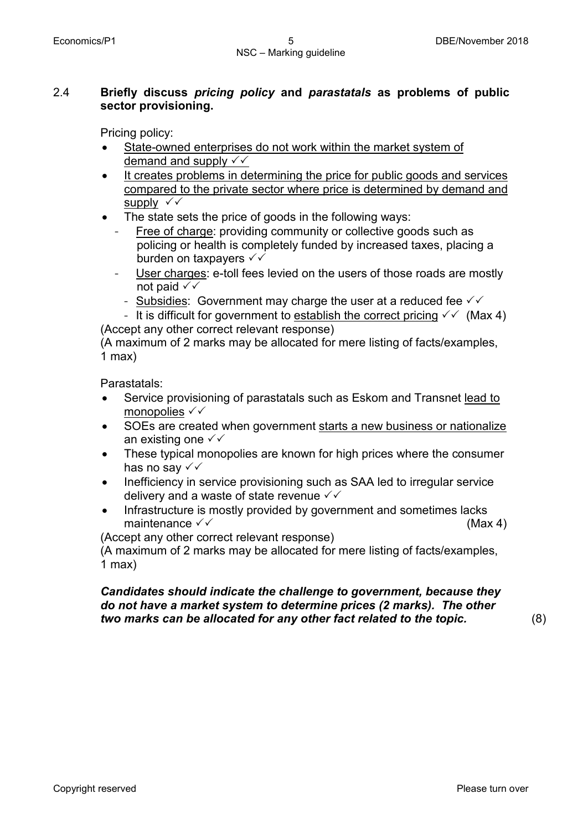## 2.4 **Briefly discuss** *pricing policy* **and** *parastatals* **as problems of public sector provisioning.**

Pricing policy:

- State-owned enterprises do not work within the market system of demand and supply  $\checkmark\checkmark$
- It creates problems in determining the price for public goods and services compared to the private sector where price is determined by demand and supply  $\checkmark\checkmark$
- The state sets the price of goods in the following ways:
	- Free of charge: providing community or collective goods such as policing or health is completely funded by increased taxes, placing a burden on taxpayers  $\checkmark\checkmark$
	- User charges: e-toll fees levied on the users of those roads are mostly not paid  $\checkmark\checkmark$ 
		- Subsidies: Government may charge the user at a reduced fee  $\sqrt{\sqrt{ }}$
- It is difficult for government to establish the correct pricing  $\checkmark\checkmark$  (Max 4) (Accept any other correct relevant response)

(A maximum of 2 marks may be allocated for mere listing of facts/examples, 1 max)

Parastatals:

- Service provisioning of parastatals such as Eskom and Transnet lead to monopolies  $\checkmark\checkmark$
- SOEs are created when government starts a new business or nationalize an existing one  $\checkmark\checkmark$
- These typical monopolies are known for high prices where the consumer has no say  $\checkmark\checkmark$
- Inefficiency in service provisioning such as SAA led to irregular service delivery and a waste of state revenue  $\checkmark\checkmark$
- Infrastructure is mostly provided by government and sometimes lacks maintenance  $\sqrt{6}$  (Max 4)

(Accept any other correct relevant response)

(A maximum of 2 marks may be allocated for mere listing of facts/examples, 1 max)

## *Candidates should indicate the challenge to government, because they do not have a market system to determine prices (2 marks). The other two marks can be allocated for any other fact related to the topic.* (8)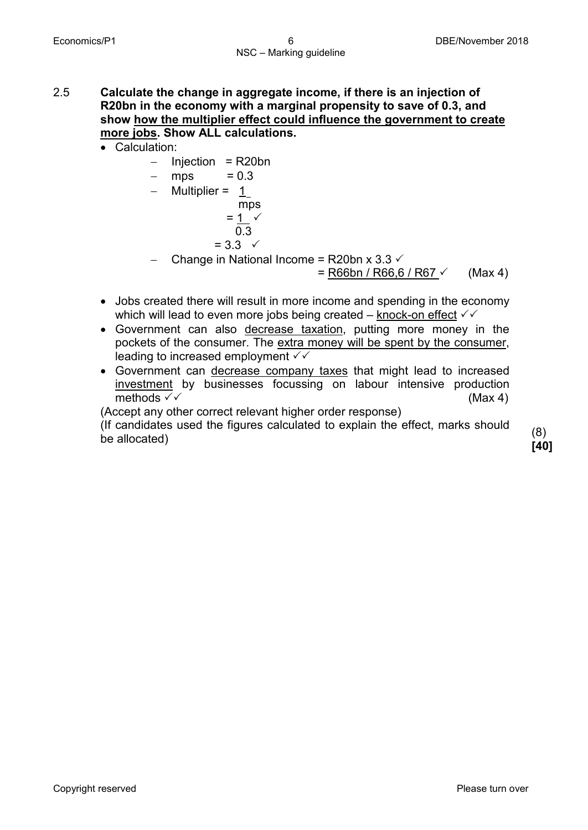2.5 **Calculate the change in aggregate income, if there is an injection of R20bn in the economy with a marginal propensity to save of 0.3, and show how the multiplier effect could influence the government to create more jobs. Show ALL calculations.** 

• Calculation:

- − Injection = R20bn
- $-$  mps = 0.3
- Multiplier =  $\frac{1}{m}$ 
	- $=$   $\frac{1}{1}$   $\checkmark$  $0.3 = 3.3 \checkmark$
- Change in National Income = R20bn x 3.3  $\checkmark$

 $=$  R66bn / R66,6 / R67  $\checkmark$  (Max 4)

- Jobs created there will result in more income and spending in the economy which will lead to even more jobs being created – knock-on effect  $\checkmark\checkmark$
- Government can also decrease taxation, putting more money in the pockets of the consumer. The extra money will be spent by the consumer, leading to increased employment  $\checkmark\checkmark$
- Government can decrease company taxes that might lead to increased investment by businesses focussing on labour intensive production methods  $\checkmark$  (Max 4)

(Accept any other correct relevant higher order response)

(If candidates used the figures calculated to explain the effect, marks should (8)<br>be allocated) rad

**[40]**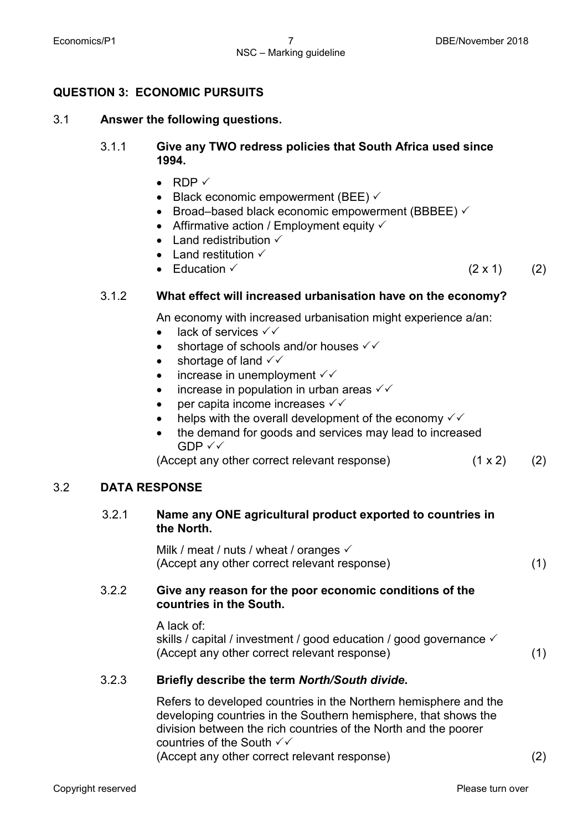## **QUESTION 3: ECONOMIC PURSUITS**

#### 3.1 **Answer the following questions.**

## 3.1.1 **Give any TWO redress policies that South Africa used since 1994.**

- RDP  $\checkmark$
- Black economic empowerment (BEE)  $\checkmark$
- Broad–based black economic empowerment (BBBEE)  $\checkmark$
- Affirmative action / Employment equity  $\checkmark$
- Land redistribution  $\checkmark$
- Land restitution  $\checkmark$
- Education  $(2 \times 1)$  (2)

## 3.1.2 **What effect will increased urbanisation have on the economy?**

An economy with increased urbanisation might experience a/an:

- lack of services  $\checkmark\checkmark$
- shortage of schools and/or houses  $\checkmark\checkmark$
- shortage of land  $\checkmark\checkmark$
- increase in unemployment  $\checkmark\checkmark$
- increase in population in urban areas  $\checkmark\checkmark$
- per capita income increases  $\checkmark\checkmark$
- helps with the overall development of the economy  $\checkmark\checkmark$
- the demand for goods and services may lead to increased  $GDP \vee \vee$

(Accept any other correct relevant response) (1 x 2) (2)

## 3.2 **DATA RESPONSE**

## 3.2.1 **Name any ONE agricultural product exported to countries in the North.**

Milk / meat / nuts / wheat / oranges  $\checkmark$ (Accept any other correct relevant response) (1)

## 3.2.2 **Give any reason for the poor economic conditions of the countries in the South.**

A lack of:

skills / capital / investment / good education / good governance  $\checkmark$ (Accept any other correct relevant response) (1)

## 3.2.3 **Briefly describe the term** *North/South divide***.**

Refers to developed countries in the Northern hemisphere and the developing countries in the Southern hemisphere, that shows the division between the rich countries of the North and the poorer countries of the South  $\checkmark\checkmark$ (Accept any other correct relevant response) (2)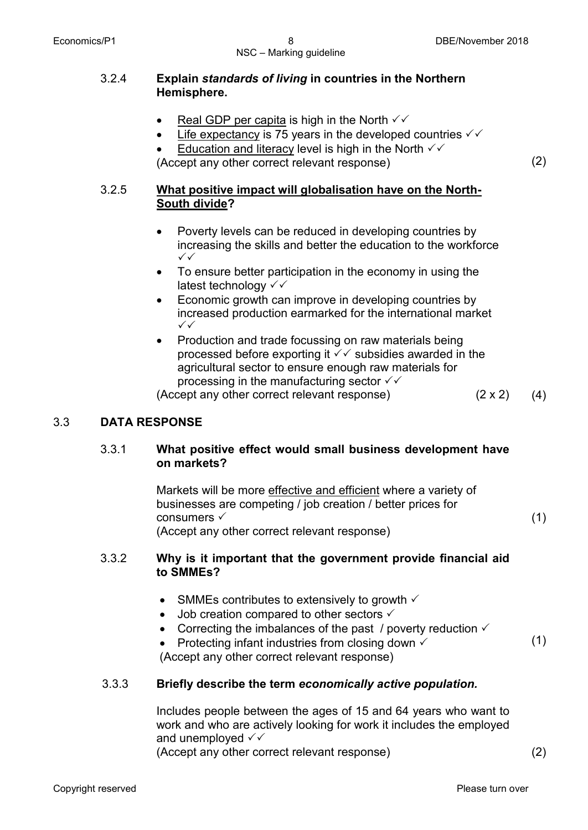## 3.2.4 **Explain** *standards of living* **in countries in the Northern Hemisphere.**

- Real GDP per capita is high in the North  $\sqrt{\checkmark}$
- Life expectancy is 75 years in the developed countries  $\checkmark\checkmark$
- Education and literacy level is high in the North  $\checkmark\checkmark$

(Accept any other correct relevant response) (2)

## 3.2.5 **What positive impact will globalisation have on the North-South divide?**

- Poverty levels can be reduced in developing countries by increasing the skills and better the education to the workforce  $\checkmark$
- To ensure better participation in the economy in using the latest technology √√
- Economic growth can improve in developing countries by increased production earmarked for the international market  $\checkmark\checkmark$
- Production and trade focussing on raw materials being processed before exporting it  $\sqrt{\checkmark}$  subsidies awarded in the agricultural sector to ensure enough raw materials for processing in the manufacturing sector  $\sqrt{\checkmark}$

(Accept any other correct relevant response) (2 x 2) (4)

(1)

(1)

## 3.3 **DATA RESPONSE**

## 3.3.1 **What positive effect would small business development have on markets?**

Markets will be more effective and efficient where a variety of businesses are competing / job creation / better prices for consumers √ (Accept any other correct relevant response)

## 3.3.2 **Why is it important that the government provide financial aid to SMMEs?**

- SMMEs contributes to extensively to growth  $\checkmark$
- Job creation compared to other sectors  $\checkmark$
- Correcting the imbalances of the past / poverty reduction  $\checkmark$
- Protecting infant industries from closing down  $\checkmark$

(Accept any other correct relevant response)

## 3.3.3 **Briefly describe the term** *economically active population.*

Includes people between the ages of 15 and 64 years who want to work and who are actively looking for work it includes the employed and unemployed  $\checkmark\checkmark$ (Accept any other correct relevant response) (2)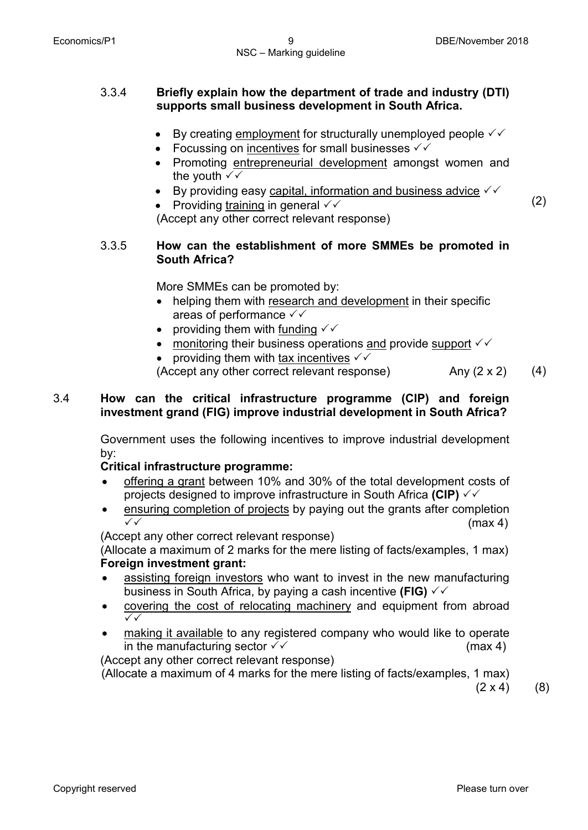#### 3.3.4 **Briefly explain how the department of trade and industry (DTI) supports small business development in South Africa.**

- By creating employment for structurally unemployed people  $\checkmark\checkmark$
- Focussing on incentives for small businesses  $\checkmark\checkmark$
- Promoting entrepreneurial development amongst women and the youth  $\sqrt{\sqrt{2}}$
- By providing easy capital, information and business advice  $\sqrt{\sqrt{ }}$
- Providing training in general  $\checkmark\checkmark$ (Accept any other correct relevant response)

$$
\left( 2\right)
$$

3.3.5 **How can the establishment of more SMMEs be promoted in South Africa?**

More SMMEs can be promoted by:

- helping them with research and development in their specific areas of performance  $\checkmark\checkmark$
- providing them with funding  $\checkmark\checkmark$
- monitoring their business operations and provide support  $\checkmark\checkmark$
- providing them with tax incentives  $\checkmark\checkmark$

(Accept any other correct relevant response)  $\qquad \qquad$  Any (2 x 2) (4)

## 3.4 **How can the critical infrastructure programme (CIP) and foreign investment grand (FIG) improve industrial development in South Africa?**

Government uses the following incentives to improve industrial development by:

## **Critical infrastructure programme:**

- offering a grant between 10% and 30% of the total development costs of projects designed to improve infrastructure in South Africa **(CIP)**
- ensuring completion of projects by paying out the grants after completion  $\checkmark$   $\checkmark$  (max 4)

(Accept any other correct relevant response)

(Allocate a maximum of 2 marks for the mere listing of facts/examples, 1 max) **Foreign investment grant:**

- assisting foreign investors who want to invest in the new manufacturing business in South Africa, by paying a cash incentive **(FIG)**
- covering the cost of relocating machinery and equipment from abroad  $\checkmark$
- making it available to any registered company who would like to operate in the manufacturing sector  $\checkmark$  (max 4)

(Accept any other correct relevant response)

(Allocate a maximum of 4 marks for the mere listing of facts/examples, 1 max)

 $(2 \times 4)$  (8)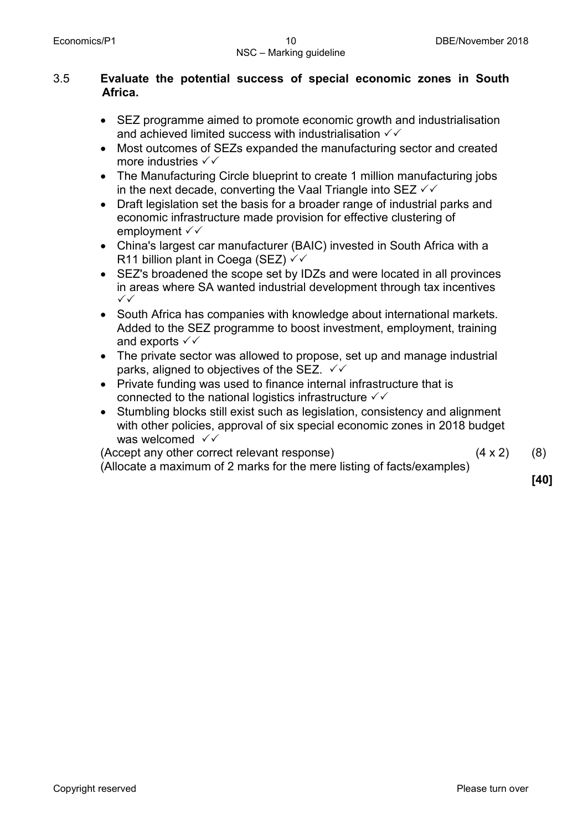## 3.5 **Evaluate the potential success of special economic zones in South Africa.**

- SEZ programme aimed to promote economic growth and industrialisation and achieved limited success with industrialisation  $\checkmark\checkmark$
- Most outcomes of SEZs expanded the manufacturing sector and created more industries  $\checkmark\checkmark$
- The Manufacturing Circle blueprint to create 1 million manufacturing jobs in the next decade, converting the Vaal Triangle into SEZ  $\checkmark\checkmark$
- Draft legislation set the basis for a broader range of industrial parks and economic infrastructure made provision for effective clustering of employment  $\checkmark\checkmark$
- China's largest car manufacturer (BAIC) invested in South Africa with a R11 billion plant in Coega (SEZ)  $\checkmark\checkmark$
- SEZ's broadened the scope set by IDZs and were located in all provinces in areas where SA wanted industrial development through tax incentives  $\checkmark$
- South Africa has companies with knowledge about international markets. Added to the SEZ programme to boost investment, employment, training and exports  $\checkmark\checkmark$
- The private sector was allowed to propose, set up and manage industrial parks, aligned to objectives of the SEZ.  $\checkmark$
- Private funding was used to finance internal infrastructure that is connected to the national logistics infrastructure  $\checkmark\checkmark$
- Stumbling blocks still exist such as legislation, consistency and alignment with other policies, approval of six special economic zones in 2018 budget was welcomed  $\checkmark\checkmark$

(Accept any other correct relevant response) (4 x 2)

(8)

(Allocate a maximum of 2 marks for the mere listing of facts/examples)

**[40]**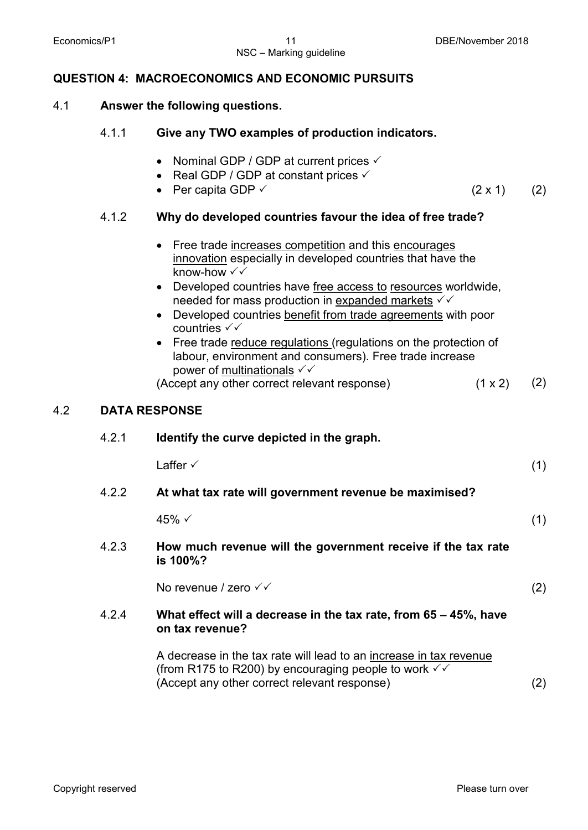NSC – Marking guideline

## **QUESTION 4: MACROECONOMICS AND ECONOMIC PURSUITS**

#### 4.1 **Answer the following questions.**

| 4.1.1 | Give any TWO examples of production indicators. |
|-------|-------------------------------------------------|
|-------|-------------------------------------------------|

- Nominal GDP / GDP at current prices  $\checkmark$
- Real GDP / GDP at constant prices  $\checkmark$
- Per capita GDP  $\checkmark$  (2 x 1) (2)

4.1.2 **Why do developed countries favour the idea of free trade?**

|     |       | Free trade increases competition and this encourages<br>$\bullet$<br>innovation especially in developed countries that have the<br>know-how √√<br>Developed countries have free access to resources worldwide,<br>$\bullet$<br>needed for mass production in expanded markets $√$<br>Developed countries benefit from trade agreements with poor<br>$\bullet$<br>countries $\checkmark\checkmark$<br>• Free trade reduce regulations (regulations on the protection of<br>labour, environment and consumers). Free trade increase<br>power of multinationals √√<br>(Accept any other correct relevant response)<br>(1 x 2) | (2) |
|-----|-------|----------------------------------------------------------------------------------------------------------------------------------------------------------------------------------------------------------------------------------------------------------------------------------------------------------------------------------------------------------------------------------------------------------------------------------------------------------------------------------------------------------------------------------------------------------------------------------------------------------------------------|-----|
| 4.2 |       | <b>DATA RESPONSE</b>                                                                                                                                                                                                                                                                                                                                                                                                                                                                                                                                                                                                       |     |
|     | 4.2.1 | Identify the curve depicted in the graph.                                                                                                                                                                                                                                                                                                                                                                                                                                                                                                                                                                                  |     |
|     |       | Laffer $\checkmark$                                                                                                                                                                                                                                                                                                                                                                                                                                                                                                                                                                                                        | (1) |
|     | 4.2.2 | At what tax rate will government revenue be maximised?                                                                                                                                                                                                                                                                                                                                                                                                                                                                                                                                                                     |     |
|     |       | 45% √                                                                                                                                                                                                                                                                                                                                                                                                                                                                                                                                                                                                                      | (1) |
|     | 4.2.3 | How much revenue will the government receive if the tax rate<br>is 100%?                                                                                                                                                                                                                                                                                                                                                                                                                                                                                                                                                   |     |
|     |       | No revenue / zero $\checkmark\checkmark$                                                                                                                                                                                                                                                                                                                                                                                                                                                                                                                                                                                   | (2) |
|     | 4.2.4 | What effect will a decrease in the tax rate, from 65 – 45%, have                                                                                                                                                                                                                                                                                                                                                                                                                                                                                                                                                           |     |

**on tax revenue?**

A decrease in the tax rate will lead to an increase in tax revenue (from R175 to R200) by encouraging people to work  $\sqrt{\checkmark}$ (Accept any other correct relevant response) (2)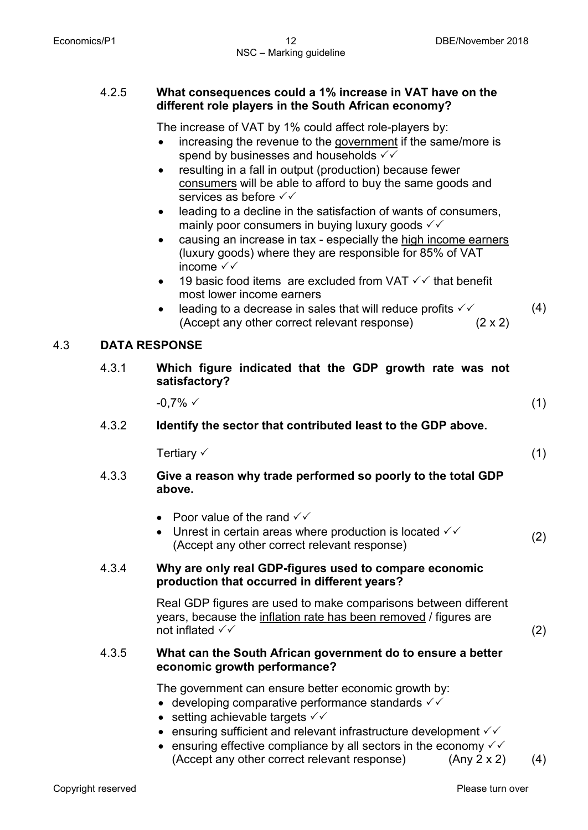## 4.2.5 **What consequences could a 1% increase in VAT have on the different role players in the South African economy?**

The increase of VAT by 1% could affect role-players by:

- increasing the revenue to the government if the same/more is spend by businesses and households  $\checkmark\checkmark$
- resulting in a fall in output (production) because fewer consumers will be able to afford to buy the same goods and services as before  $\checkmark\checkmark$
- leading to a decline in the satisfaction of wants of consumers, mainly poor consumers in buying luxury goods  $\checkmark\checkmark$
- causing an increase in tax especially the high income earners (luxury goods) where they are responsible for 85% of VAT income  $\checkmark\checkmark$
- 19 basic food items are excluded from VAT  $\checkmark\checkmark$  that benefit most lower income earners
- leading to a decrease in sales that will reduce profits  $\checkmark\checkmark$  (Accept any other correct relevant response) (2 x 2) (4)

## 4.3 **DATA RESPONSE**

4.3.1 **Which figure indicated that the GDP growth rate was not satisfactory?** 

 $-0.7\%$   $\checkmark$  (1)

4.3.2 **Identify the sector that contributed least to the GDP above.** 

 $T$ ertiary  $\checkmark$  (1)

- 4.3.3 **Give a reason why trade performed so poorly to the total GDP above.**
	- Poor value of the rand  $\checkmark\checkmark$
	- Unrest in certain areas where production is located  $\checkmark\checkmark$ Official certain areas where production is located  $\sqrt{ }$  (2) (Accept any other correct relevant response)

## 4.3.4 **Why are only real GDP-figures used to compare economic production that occurred in different years?**

Real GDP figures are used to make comparisons between different years, because the inflation rate has been removed / figures are not inflated  $\checkmark$  (2)

#### 4.3.5 **What can the South African government do to ensure a better economic growth performance?**

The government can ensure better economic growth by:

- developing comparative performance standards  $\checkmark\checkmark$
- setting achievable targets  $\checkmark\checkmark$
- ensuring sufficient and relevant infrastructure development  $\checkmark\checkmark$
- ensuring effective compliance by all sectors in the economy  $\checkmark\checkmark$ (Accept any other correct relevant response) (Any 2 x 2) (4)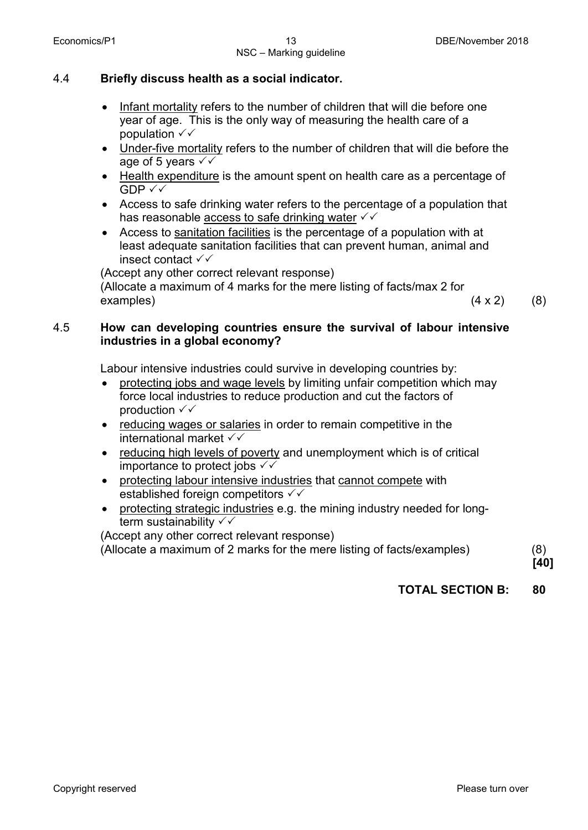## 4.4 **Briefly discuss health as a social indicator.**

- Infant mortality refers to the number of children that will die before one year of age. This is the only way of measuring the health care of a population  $\checkmark\checkmark$
- Under-five mortality refers to the number of children that will die before the age of 5 years  $\checkmark\checkmark$
- Health expenditure is the amount spent on health care as a percentage of  $GDP \vee \vee$
- Access to safe drinking water refers to the percentage of a population that has reasonable access to safe drinking water  $\checkmark\checkmark$
- Access to sanitation facilities is the percentage of a population with at least adequate sanitation facilities that can prevent human, animal and insect contact  $\checkmark\checkmark$

(Accept any other correct relevant response)

(Allocate a maximum of 4 marks for the mere listing of facts/max 2 for  $\alpha$  (4 x 2) (8)

## 4.5 **How can developing countries ensure the survival of labour intensive industries in a global economy?**

Labour intensive industries could survive in developing countries by:

- protecting jobs and wage levels by limiting unfair competition which may force local industries to reduce production and cut the factors of production  $\checkmark\checkmark$
- reducing wages or salaries in order to remain competitive in the international market
- reducing high levels of poverty and unemployment which is of critical importance to protect jobs  $\checkmark\checkmark$
- protecting labour intensive industries that cannot compete with established foreign competitors  $\checkmark\checkmark$
- protecting strategic industries e.g. the mining industry needed for longterm sustainability  $\checkmark\checkmark$

(Accept any other correct relevant response)

(Allocate a maximum of 2 marks for the mere listing of facts/examples) (8)

**[40]**

## **TOTAL SECTION B: 80**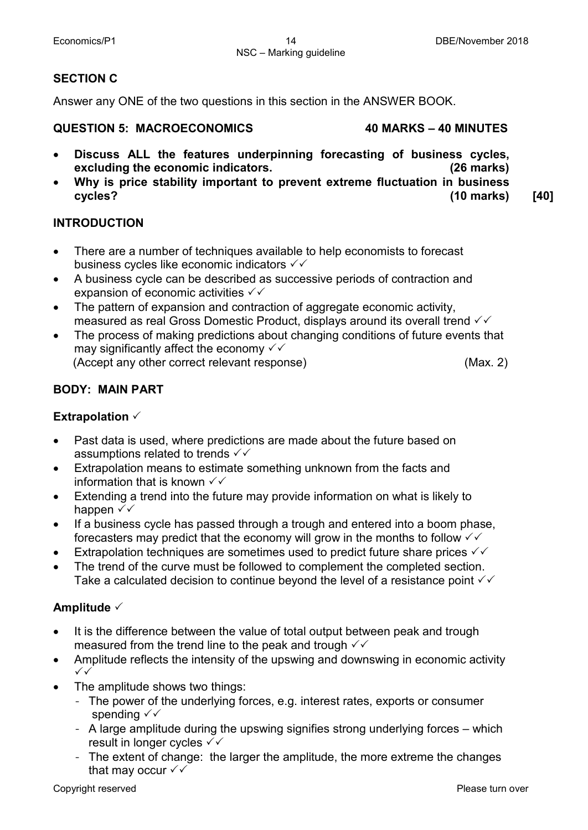## **SECTION C**

Answer any ONE of the two questions in this section in the ANSWER BOOK.

#### **QUESTION 5: MACROECONOMICS 40 MARKS – 40 MINUTES**

- **Discuss ALL the features underpinning forecasting of business cycles, excluding the economic indicators. (26 marks)**
- **Why is price stability important to prevent extreme fluctuation in business cycles? (10 marks) [40]**

## **INTRODUCTION**

- There are a number of techniques available to help economists to forecast business cycles like economic indicators  $\checkmark\checkmark$
- A business cycle can be described as successive periods of contraction and expansion of economic activities  $\checkmark\checkmark$
- The pattern of expansion and contraction of aggregate economic activity, measured as real Gross Domestic Product, displays around its overall trend  $\checkmark\checkmark$
- The process of making predictions about changing conditions of future events that may significantly affect the economy  $\checkmark\checkmark$

(Accept any other correct relevant response) (Max. 2)

## **BODY: MAIN PART**

## **Extrapolation**

- Past data is used, where predictions are made about the future based on assumptions related to trends  $\checkmark\checkmark$
- Extrapolation means to estimate something unknown from the facts and information that is known  $\checkmark\checkmark$
- Extending a trend into the future may provide information on what is likely to happen √√
- If a business cycle has passed through a trough and entered into a boom phase, forecasters may predict that the economy will grow in the months to follow  $\checkmark\checkmark$
- Extrapolation techniques are sometimes used to predict future share prices  $\checkmark\checkmark$
- The trend of the curve must be followed to complement the completed section. Take a calculated decision to continue beyond the level of a resistance point  $\checkmark\checkmark$

## **Amplitude**

- It is the difference between the value of total output between peak and trough measured from the trend line to the peak and trough  $\checkmark\checkmark$
- Amplitude reflects the intensity of the upswing and downswing in economic activity  $\checkmark$
- The amplitude shows two things:
	- The power of the underlying forces, e.g. interest rates, exports or consumer spending  $\checkmark\checkmark$
	- A large amplitude during the upswing signifies strong underlying forces which result in longer cycles  $\checkmark\checkmark$
	- The extent of change: the larger the amplitude, the more extreme the changes that may occur  $\checkmark\checkmark$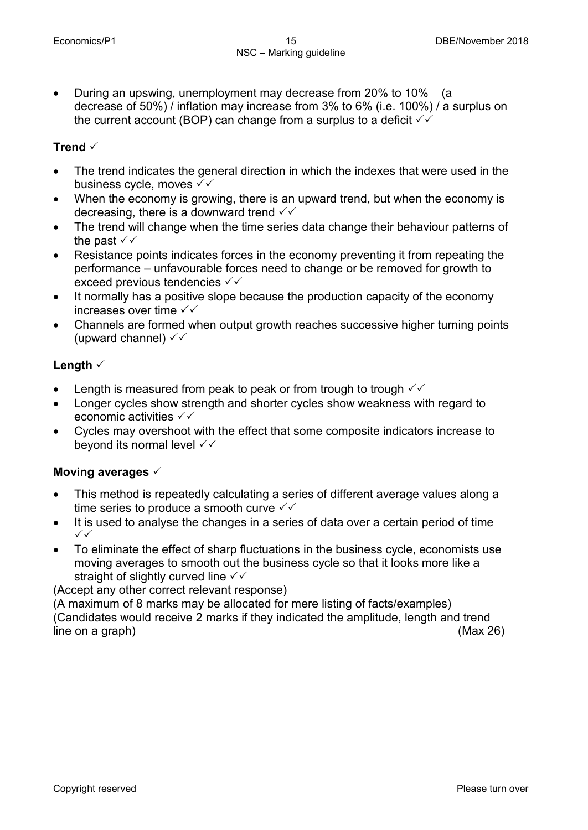• During an upswing, unemployment may decrease from 20% to 10% (a decrease of 50%) / inflation may increase from 3% to 6% (i.e. 100%) / a surplus on the current account (BOP) can change from a surplus to a deficit  $\checkmark$ 

## **Trend**

- The trend indicates the general direction in which the indexes that were used in the business cycle, moves  $\checkmark\checkmark$
- When the economy is growing, there is an upward trend, but when the economy is decreasing, there is a downward trend  $\checkmark\checkmark$
- The trend will change when the time series data change their behaviour patterns of the past  $\checkmark\checkmark$
- Resistance points indicates forces in the economy preventing it from repeating the performance – unfavourable forces need to change or be removed for growth to exceed previous tendencies  $\checkmark\checkmark$
- It normally has a positive slope because the production capacity of the economy increases over time  $\sqrt{\sqrt{ }}$
- Channels are formed when output growth reaches successive higher turning points (upward channel)  $\checkmark\checkmark$

## **Length**

- Length is measured from peak to peak or from trough to trough  $\sqrt{\sqrt{ }}$
- Longer cycles show strength and shorter cycles show weakness with regard to economic activities  $\checkmark\checkmark$
- Cycles may overshoot with the effect that some composite indicators increase to beyond its normal level  $\checkmark\checkmark$

## **Moving averages**

- This method is repeatedly calculating a series of different average values along a time series to produce a smooth curve  $\checkmark\checkmark$
- It is used to analyse the changes in a series of data over a certain period of time  $\checkmark$
- To eliminate the effect of sharp fluctuations in the business cycle, economists use moving averages to smooth out the business cycle so that it looks more like a straight of slightly curved line  $\checkmark\checkmark$

(Accept any other correct relevant response)

(A maximum of 8 marks may be allocated for mere listing of facts/examples) (Candidates would receive 2 marks if they indicated the amplitude, length and trend line on a graph) (Max 26)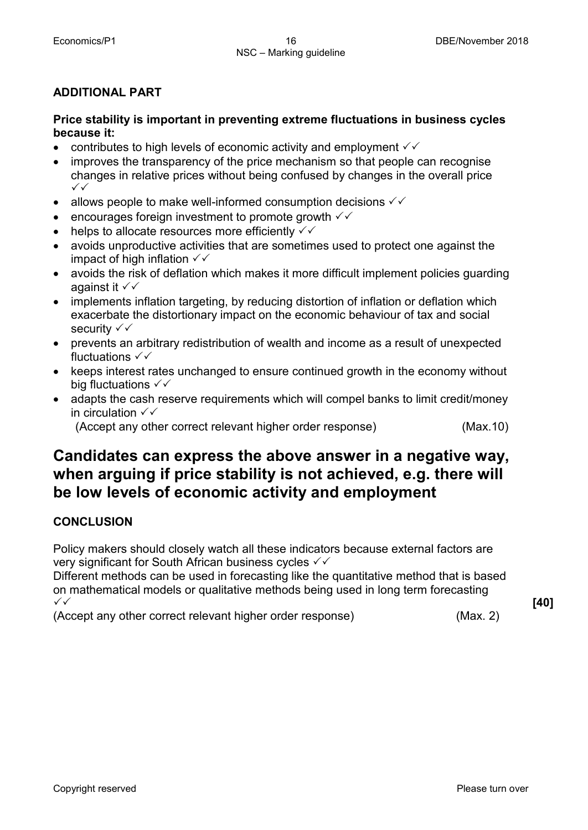## **ADDITIONAL PART**

## **Price stability is important in preventing extreme fluctuations in business cycles because it:**

- contributes to high levels of economic activity and employment  $\checkmark\checkmark$
- improves the transparency of the price mechanism so that people can recognise changes in relative prices without being confused by changes in the overall price  $\checkmark$
- allows people to make well-informed consumption decisions  $\checkmark\checkmark$
- encourages foreign investment to promote growth  $\checkmark\checkmark$
- helps to allocate resources more efficiently  $\checkmark\checkmark$
- avoids unproductive activities that are sometimes used to protect one against the impact of high inflation  $\checkmark\checkmark$
- avoids the risk of deflation which makes it more difficult implement policies guarding against it  $\checkmark\checkmark$
- implements inflation targeting, by reducing distortion of inflation or deflation which exacerbate the distortionary impact on the economic behaviour of tax and social security  $\checkmark\checkmark$
- prevents an arbitrary redistribution of wealth and income as a result of unexpected fluctuations  $\checkmark\checkmark$
- keeps interest rates unchanged to ensure continued growth in the economy without big fluctuations  $\checkmark\checkmark$
- adapts the cash reserve requirements which will compel banks to limit credit/money in circulation  $\checkmark\checkmark$

(Accept any other correct relevant higher order response) (Max.10)

# **Candidates can express the above answer in a negative way, when arguing if price stability is not achieved, e.g. there will be low levels of economic activity and employment**

## **CONCLUSION**

Policy makers should closely watch all these indicators because external factors are very significant for South African business cycles  $\checkmark\checkmark$ 

Different methods can be used in forecasting like the quantitative method that is based on mathematical models or qualitative methods being used in long term forecasting  $\checkmark$ 

(Accept any other correct relevant higher order response) (Max. 2)

**[40]**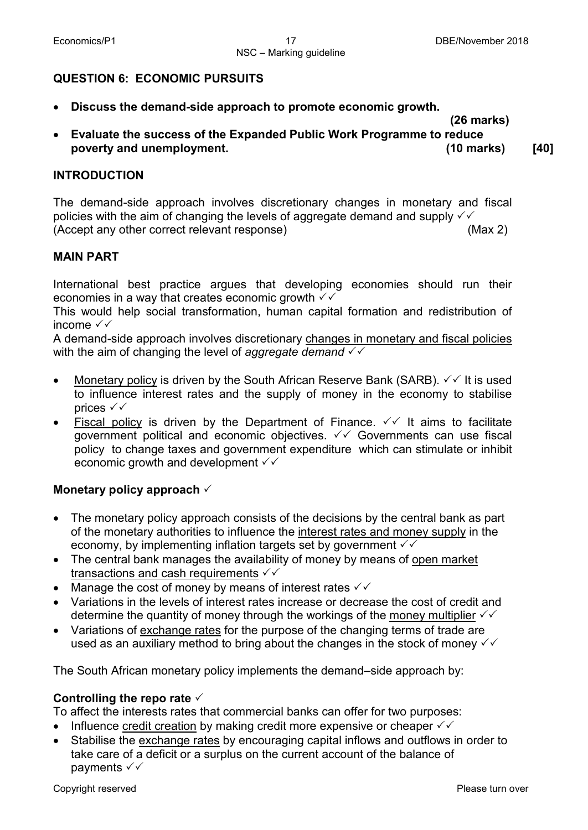## **QUESTION 6: ECONOMIC PURSUITS**

• **Discuss the demand-side approach to promote economic growth.**

 **(26 marks)**

• **Evaluate the success of the Expanded Public Work Programme to reduce poverty and unemployment. (10 marks) [40]**

#### **INTRODUCTION**

The demand-side approach involves discretionary changes in monetary and fiscal policies with the aim of changing the levels of aggregate demand and supply  $\checkmark\checkmark$ (Accept any other correct relevant response) (Max 2)

#### **MAIN PART**

International best practice argues that developing economies should run their economies in a way that creates economic growth  $\checkmark\checkmark$ 

This would help social transformation, human capital formation and redistribution of income  $\sqrt{\sqrt{ }}$ 

A demand-side approach involves discretionary changes in monetary and fiscal policies with the aim of changing the level of *aggregate demand*

- Monetary policy is driven by the South African Reserve Bank (SARB).  $\checkmark\checkmark$  It is used to influence interest rates and the supply of money in the economy to stabilise prices  $\checkmark\checkmark$
- Fiscal policy is driven by the Department of Finance.  $\checkmark\checkmark$  It aims to facilitate government political and economic objectives.  $\checkmark\checkmark$  Governments can use fiscal policy to change taxes and government expenditure which can stimulate or inhibit economic growth and development  $\checkmark\checkmark$

## **Monetary policy approach**

- The monetary policy approach consists of the decisions by the central bank as part of the monetary authorities to influence the interest rates and money supply in the economy, by implementing inflation targets set by government  $\checkmark\checkmark$
- The central bank manages the availability of money by means of open market transactions and cash requirements  $\checkmark\checkmark$
- Manage the cost of money by means of interest rates  $\checkmark\checkmark$
- Variations in the levels of interest rates increase or decrease the cost of credit and determine the quantity of money through the workings of the money multiplier  $\sqrt{\sqrt{ }}$
- Variations of exchange rates for the purpose of the changing terms of trade are used as an auxiliary method to bring about the changes in the stock of money  $\checkmark\checkmark$

The South African monetary policy implements the demand–side approach by:

## **Controlling the repo rate**

To affect the interests rates that commercial banks can offer for two purposes:

- Influence credit creation by making credit more expensive or cheaper  $\checkmark\checkmark$
- Stabilise the exchange rates by encouraging capital inflows and outflows in order to take care of a deficit or a surplus on the current account of the balance of payments  $\checkmark\checkmark$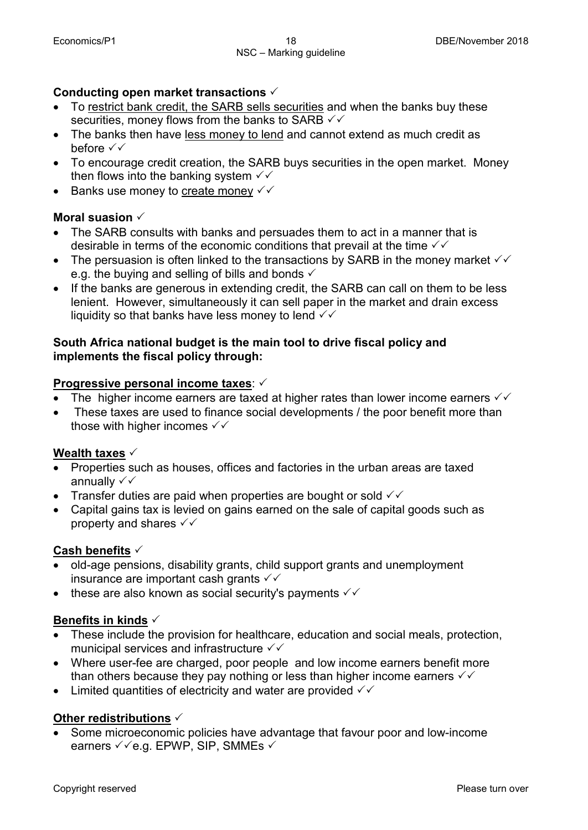## **Conducting open market transactions**

- To restrict bank credit, the SARB sells securities and when the banks buy these securities, money flows from the banks to SARB  $\checkmark\checkmark$
- The banks then have less money to lend and cannot extend as much credit as before  $\checkmark\checkmark$
- To encourage credit creation, the SARB buys securities in the open market. Money then flows into the banking system  $\sqrt{\sqrt{ }}$
- Banks use money to create money  $\checkmark\checkmark$

## **Moral suasion**

- The SARB consults with banks and persuades them to act in a manner that is desirable in terms of the economic conditions that prevail at the time  $\sqrt{6}$
- The persuasion is often linked to the transactions by SARB in the money market  $\checkmark\checkmark$ e.g. the buying and selling of bills and bonds  $\checkmark$
- If the banks are generous in extending credit, the SARB can call on them to be less lenient. However, simultaneously it can sell paper in the market and drain excess liquidity so that banks have less money to lend  $\checkmark\checkmark$

## **South Africa national budget is the main tool to drive fiscal policy and implements the fiscal policy through:**

## **Progressive personal income taxes**:

- The higher income earners are taxed at higher rates than lower income earners  $\checkmark\checkmark$
- These taxes are used to finance social developments / the poor benefit more than those with higher incomes  $\checkmark\checkmark$

## **Wealth taxes**

- Properties such as houses, offices and factories in the urban areas are taxed annually  $\checkmark\checkmark$
- Transfer duties are paid when properties are bought or sold  $\checkmark\checkmark$
- Capital gains tax is levied on gains earned on the sale of capital goods such as property and shares  $\checkmark\checkmark$

## **Cash benefits**

- old-age pensions, disability grants, child support grants and unemployment insurance are important cash grants  $\checkmark\checkmark$
- these are also known as social security's payments  $\checkmark\checkmark$

## **Benefits in kinds**

- These include the provision for healthcare, education and social meals, protection, municipal services and infrastructure  $\sqrt{\sqrt{ }}$
- Where user-fee are charged, poor people and low income earners benefit more than others because they pay nothing or less than higher income earners  $\checkmark\checkmark$
- Limited quantities of electricity and water are provided  $\checkmark\checkmark$

## **Other redistributions**

• Some microeconomic policies have advantage that favour poor and low-income earners  $\checkmark$  e.g. EPWP, SIP, SMMEs  $\checkmark$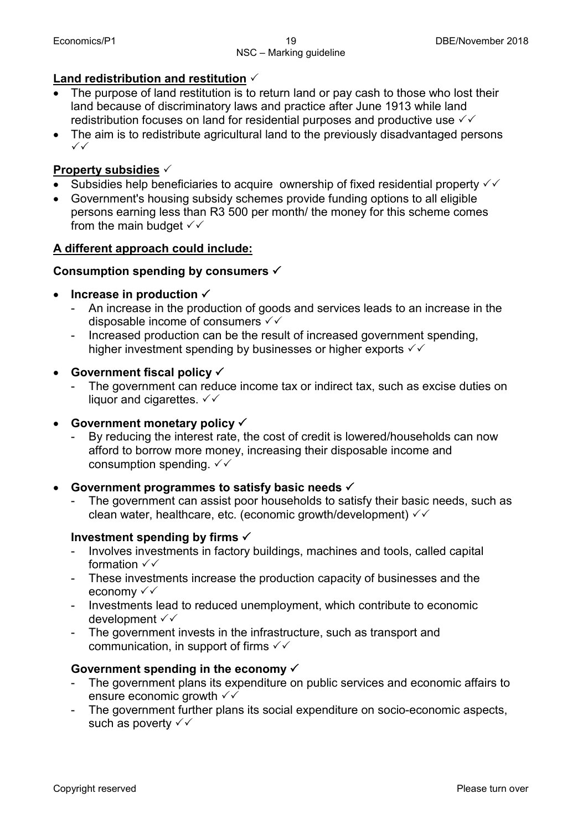## **Land redistribution and restitution**

- The purpose of land restitution is to return land or pay cash to those who lost their land because of discriminatory laws and practice after June 1913 while land redistribution focuses on land for residential purposes and productive use  $\sqrt{\checkmark}$
- The aim is to redistribute agricultural land to the previously disadvantaged persons  $\checkmark$

## **Property subsidies**

- Subsidies help beneficiaries to acquire ownership of fixed residential property  $\checkmark\checkmark$
- Government's housing subsidy schemes provide funding options to all eligible persons earning less than R3 500 per month/ the money for this scheme comes from the main budget  $\checkmark\checkmark$

## **A different approach could include:**

## **Consumption spending by consumers**

## **Increase in production**  $\checkmark$

- An increase in the production of goods and services leads to an increase in the disposable income of consumers  $\checkmark\checkmark$
- Increased production can be the result of increased government spending, higher investment spending by businesses or higher exports  $\checkmark\checkmark$

#### • **Government fiscal policy**

The government can reduce income tax or indirect tax, such as excise duties on liquor and cigarettes.  $\checkmark\checkmark$ 

## • **Government monetary policy**

- By reducing the interest rate, the cost of credit is lowered/households can now afford to borrow more money, increasing their disposable income and consumption spending.  $\checkmark\checkmark$ 

## • **Government programmes to satisfy basic needs**

The government can assist poor households to satisfy their basic needs, such as clean water, healthcare, etc. (economic growth/development)  $\checkmark\checkmark$ 

## **Investment spending by firms**

- Involves investments in factory buildings, machines and tools, called capital formation  $\checkmark\checkmark$
- These investments increase the production capacity of businesses and the economy √ √
- Investments lead to reduced unemployment, which contribute to economic development √√
- The government invests in the infrastructure, such as transport and communication, in support of firms  $\sqrt{\sqrt{2}}$

## **Government spending in the economy**

- The government plans its expenditure on public services and economic affairs to ensure economic growth  $\checkmark\checkmark$
- The government further plans its social expenditure on socio-economic aspects, such as poverty  $\checkmark\checkmark$